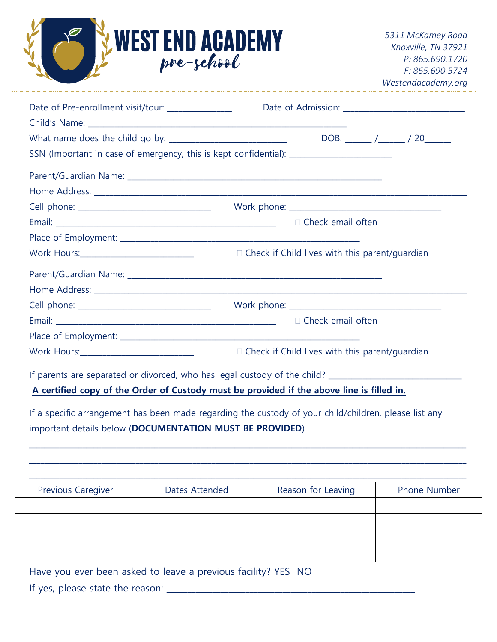

| Date of Pre-enrollment visit/tour: _____________                                   |                                                       |
|------------------------------------------------------------------------------------|-------------------------------------------------------|
|                                                                                    |                                                       |
|                                                                                    |                                                       |
| SSN (Important in case of emergency, this is kept confidential): _________________ |                                                       |
|                                                                                    |                                                       |
|                                                                                    |                                                       |
|                                                                                    |                                                       |
|                                                                                    | $\Box$ Check email often                              |
|                                                                                    |                                                       |
|                                                                                    | $\Box$ Check if Child lives with this parent/guardian |
|                                                                                    |                                                       |
|                                                                                    |                                                       |
|                                                                                    |                                                       |
|                                                                                    | $\Box$ Check email often                              |
|                                                                                    |                                                       |
| Work Hours:_______________________________                                         | $\Box$ Check if Child lives with this parent/guardian |

If parents are separated or divorced, who has legal custody of the child?

**A certified copy of the Order of Custody must be provided if the above line is filled in.**

If a specific arrangement has been made regarding the custody of your child/children, please list any important details below (**DOCUMENTATION MUST BE PROVIDED**)

| <b>Previous Caregiver</b> | Dates Attended | Reason for Leaving | <b>Phone Number</b> |
|---------------------------|----------------|--------------------|---------------------|
|                           |                |                    |                     |
|                           |                |                    |                     |
|                           |                |                    |                     |
|                           |                |                    |                     |

 $\_$  ,  $\_$  ,  $\_$  ,  $\_$  ,  $\_$  ,  $\_$  ,  $\_$  ,  $\_$  ,  $\_$  ,  $\_$  ,  $\_$  ,  $\_$  ,  $\_$  ,  $\_$  ,  $\_$  ,  $\_$  ,  $\_$  ,  $\_$  ,  $\_$  ,  $\_$  ,  $\_$  ,  $\_$  ,  $\_$  ,  $\_$  ,  $\_$  ,  $\_$  ,  $\_$  ,  $\_$  ,  $\_$  ,  $\_$  ,  $\_$  ,  $\_$  ,  $\_$  ,  $\_$  ,  $\_$  ,  $\_$  ,  $\_$  , \_\_\_\_\_\_\_\_\_\_\_\_\_\_\_\_\_\_\_\_\_\_\_\_\_\_\_\_\_\_\_\_\_\_\_\_\_\_\_\_\_\_\_\_\_\_\_\_\_\_\_\_\_\_\_\_\_\_\_\_\_\_\_\_\_\_\_\_\_\_\_\_\_\_\_\_\_\_\_\_\_\_\_\_\_\_\_\_\_\_\_\_\_\_\_\_\_\_\_\_\_\_\_\_\_\_\_\_\_\_\_\_\_\_\_

Have you ever been asked to leave a previous facility? YES NO

If yes, please state the reason: \_\_\_\_\_\_\_\_\_\_\_\_\_\_\_\_\_\_\_\_\_\_\_\_\_\_\_\_\_\_\_\_\_\_\_\_\_\_\_\_\_\_\_\_\_\_\_\_\_\_\_\_\_\_\_\_\_\_\_\_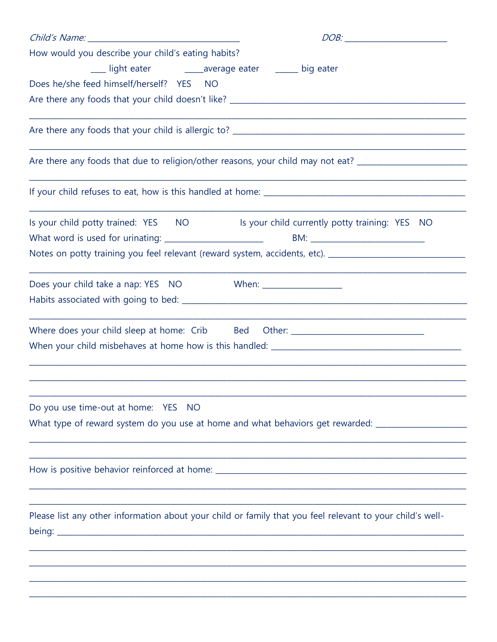| How would you describe your child's eating habits?                                                        |                                                                                                                |
|-----------------------------------------------------------------------------------------------------------|----------------------------------------------------------------------------------------------------------------|
|                                                                                                           |                                                                                                                |
| Does he/she feed himself/herself? YES NO                                                                  |                                                                                                                |
|                                                                                                           |                                                                                                                |
|                                                                                                           |                                                                                                                |
|                                                                                                           | Are there any foods that due to religion/other reasons, your child may not eat? ______________________________ |
|                                                                                                           |                                                                                                                |
| Is your child potty trained: YES NO                                                                       | Is your child currently potty training: YES NO                                                                 |
|                                                                                                           | Notes on potty training you feel relevant (reward system, accidents, etc). __________________________________  |
| Does your child take a nap: YES NO                                                                        |                                                                                                                |
|                                                                                                           |                                                                                                                |
| Where does your child sleep at home: Crib Bed                                                             |                                                                                                                |
|                                                                                                           |                                                                                                                |
| Do you use time-out at home: YES NO                                                                       |                                                                                                                |
|                                                                                                           | What type of reward system do you use at home and what behaviors get rewarded: ____________________            |
|                                                                                                           |                                                                                                                |
| Please list any other information about your child or family that you feel relevant to your child's well- |                                                                                                                |
|                                                                                                           |                                                                                                                |
|                                                                                                           |                                                                                                                |
|                                                                                                           |                                                                                                                |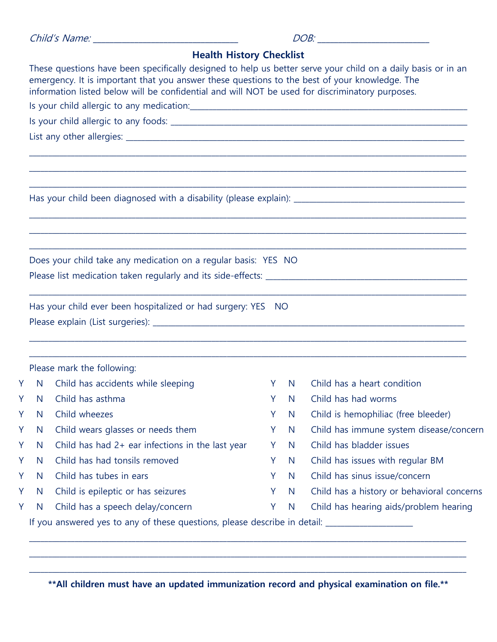| Child's Name: |  |  |
|---------------|--|--|
|               |  |  |

|               | <b>Health History Checklist</b>                                                                                                                                                                                                                                                                                  |        |              |                                                                                      |
|---------------|------------------------------------------------------------------------------------------------------------------------------------------------------------------------------------------------------------------------------------------------------------------------------------------------------------------|--------|--------------|--------------------------------------------------------------------------------------|
|               | These questions have been specifically designed to help us better serve your child on a daily basis or in an<br>emergency. It is important that you answer these questions to the best of your knowledge. The<br>information listed below will be confidential and will NOT be used for discriminatory purposes. |        |              |                                                                                      |
|               |                                                                                                                                                                                                                                                                                                                  |        |              |                                                                                      |
|               |                                                                                                                                                                                                                                                                                                                  |        |              |                                                                                      |
|               |                                                                                                                                                                                                                                                                                                                  |        |              |                                                                                      |
|               |                                                                                                                                                                                                                                                                                                                  |        |              |                                                                                      |
|               |                                                                                                                                                                                                                                                                                                                  |        |              |                                                                                      |
|               |                                                                                                                                                                                                                                                                                                                  |        |              |                                                                                      |
|               |                                                                                                                                                                                                                                                                                                                  |        |              |                                                                                      |
|               | Does your child take any medication on a regular basis: YES NO                                                                                                                                                                                                                                                   |        |              |                                                                                      |
|               |                                                                                                                                                                                                                                                                                                                  |        |              |                                                                                      |
|               | Has your child ever been hospitalized or had surgery: YES NO                                                                                                                                                                                                                                                     |        |              |                                                                                      |
|               |                                                                                                                                                                                                                                                                                                                  |        |              |                                                                                      |
|               | Please mark the following:                                                                                                                                                                                                                                                                                       |        |              |                                                                                      |
|               | N Child has accidents while sleeping                                                                                                                                                                                                                                                                             | Y      | N            | Child has a heart condition                                                          |
|               | N Child has asthma                                                                                                                                                                                                                                                                                               | Y      | <sup>N</sup> | Child has had worms                                                                  |
|               | Y N Child wheezes                                                                                                                                                                                                                                                                                                |        |              | Y N Child is hemophiliac (free bleeder)                                              |
| Y.<br>Y.<br>Ý | Child wears glasses or needs them<br>N                                                                                                                                                                                                                                                                           | Y      | N            | Child has immune system disease/concern                                              |
| Ý             | Child has had $2+$ ear infections in the last year<br>N                                                                                                                                                                                                                                                          | Y      | N            | Child has bladder issues                                                             |
| Ý             | Child has had tonsils removed<br>N                                                                                                                                                                                                                                                                               | Y      | N            | Child has issues with regular BM                                                     |
| Ý             | Child has tubes in ears<br>N                                                                                                                                                                                                                                                                                     | Y      | N            | Child has sinus issue/concern                                                        |
| Y<br>Y        | Child is epileptic or has seizures<br>N<br>Child has a speech delay/concern<br>N                                                                                                                                                                                                                                 | Y<br>Y | N<br>N       | Child has a history or behavioral concerns<br>Child has hearing aids/problem hearing |

 $\_$  ,  $\_$  ,  $\_$  ,  $\_$  ,  $\_$  ,  $\_$  ,  $\_$  ,  $\_$  ,  $\_$  ,  $\_$  ,  $\_$  ,  $\_$  ,  $\_$  ,  $\_$  ,  $\_$  ,  $\_$  ,  $\_$  ,  $\_$  ,  $\_$  ,  $\_$  ,  $\_$  ,  $\_$  ,  $\_$  ,  $\_$  ,  $\_$  ,  $\_$  ,  $\_$  ,  $\_$  ,  $\_$  ,  $\_$  ,  $\_$  ,  $\_$  ,  $\_$  ,  $\_$  ,  $\_$  ,  $\_$  ,  $\_$  , **\*\*All children must have an updated immunization record and physical examination on file.\*\***

 $\_$  ,  $\_$  ,  $\_$  ,  $\_$  ,  $\_$  ,  $\_$  ,  $\_$  ,  $\_$  ,  $\_$  ,  $\_$  ,  $\_$  ,  $\_$  ,  $\_$  ,  $\_$  ,  $\_$  ,  $\_$  ,  $\_$  ,  $\_$  ,  $\_$  ,  $\_$  ,  $\_$  ,  $\_$  ,  $\_$  ,  $\_$  ,  $\_$  ,  $\_$  ,  $\_$  ,  $\_$  ,  $\_$  ,  $\_$  ,  $\_$  ,  $\_$  ,  $\_$  ,  $\_$  ,  $\_$  ,  $\_$  ,  $\_$  ,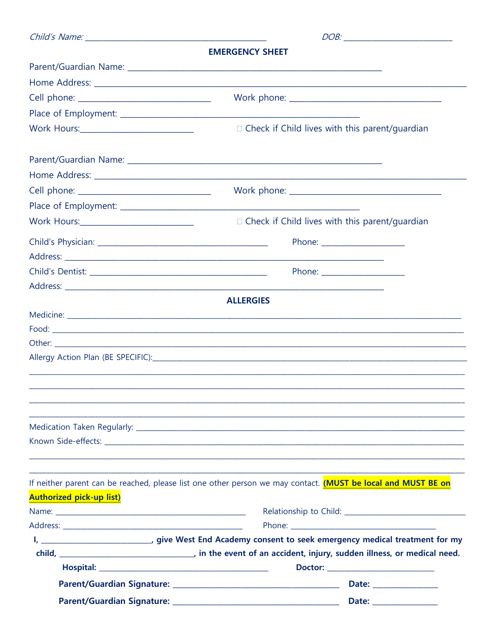|                                 | <b>EMERGENCY SHEET</b>                                                                                                                                                                                                               |  |  |
|---------------------------------|--------------------------------------------------------------------------------------------------------------------------------------------------------------------------------------------------------------------------------------|--|--|
|                                 |                                                                                                                                                                                                                                      |  |  |
|                                 |                                                                                                                                                                                                                                      |  |  |
|                                 |                                                                                                                                                                                                                                      |  |  |
|                                 |                                                                                                                                                                                                                                      |  |  |
|                                 | □ Check if Child lives with this parent/guardian                                                                                                                                                                                     |  |  |
|                                 |                                                                                                                                                                                                                                      |  |  |
|                                 |                                                                                                                                                                                                                                      |  |  |
|                                 |                                                                                                                                                                                                                                      |  |  |
|                                 |                                                                                                                                                                                                                                      |  |  |
|                                 | □ Check if Child lives with this parent/guardian                                                                                                                                                                                     |  |  |
|                                 | Phone: <u>with the state of the state of the state of the state of the state of the state of the state of the state of the state of the state of the state of the state of the state of the state of the state of the state of t</u> |  |  |
|                                 | Phone: <u>with the same and the same of the same of the same of the same of the same of the same of the same of the same of the same of the same of the same of the same of the same of the same of the same of the same of the </u> |  |  |
|                                 |                                                                                                                                                                                                                                      |  |  |
|                                 | <b>ALLERGIES</b>                                                                                                                                                                                                                     |  |  |
|                                 |                                                                                                                                                                                                                                      |  |  |
|                                 |                                                                                                                                                                                                                                      |  |  |
|                                 |                                                                                                                                                                                                                                      |  |  |
|                                 |                                                                                                                                                                                                                                      |  |  |
|                                 |                                                                                                                                                                                                                                      |  |  |
|                                 |                                                                                                                                                                                                                                      |  |  |
|                                 |                                                                                                                                                                                                                                      |  |  |
|                                 |                                                                                                                                                                                                                                      |  |  |
|                                 |                                                                                                                                                                                                                                      |  |  |
|                                 |                                                                                                                                                                                                                                      |  |  |
|                                 |                                                                                                                                                                                                                                      |  |  |
|                                 | If neither parent can be reached, please list one other person we may contact. (MUST be local and MUST BE on                                                                                                                         |  |  |
| <b>Authorized pick-up list)</b> |                                                                                                                                                                                                                                      |  |  |
|                                 |                                                                                                                                                                                                                                      |  |  |
|                                 |                                                                                                                                                                                                                                      |  |  |
|                                 | I, _______________________________, give West End Academy consent to seek emergency medical treatment for my                                                                                                                         |  |  |
|                                 | child, __________________________________, in the event of an accident, injury, sudden illness, or medical need.                                                                                                                     |  |  |
|                                 | Date: <u>Date: Distribution of the set of the set of the set of the set of the set of the set of the set of the set of the set of the set of the set of the set of the set of the set of the set of the set of the set of the se</u> |  |  |
|                                 |                                                                                                                                                                                                                                      |  |  |
|                                 | Date: _______________                                                                                                                                                                                                                |  |  |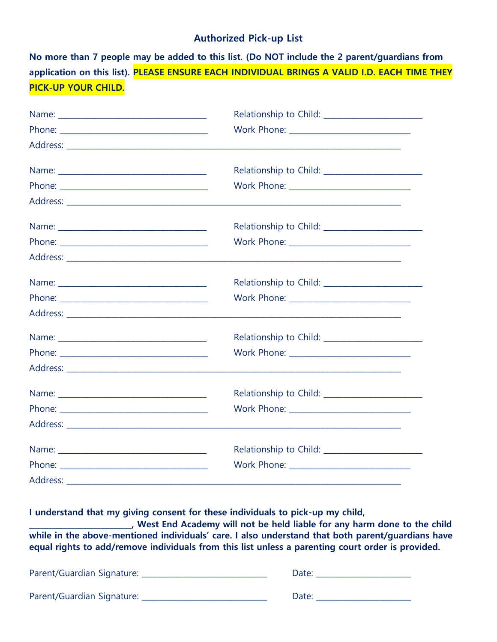## **Authorized Pick-up List**

**No more than 7 people may be added to this list. (Do NOT include the 2 parent/guardians from application on this list). PLEASE ENSURE EACH INDIVIDUAL BRINGS A VALID I.D. EACH TIME THEY PICK-UP YOUR CHILD.**

| Work Phone: ______________________________ |
|--------------------------------------------|
|                                            |
|                                            |
|                                            |
|                                            |
|                                            |
|                                            |
|                                            |
|                                            |
|                                            |
|                                            |
|                                            |
|                                            |
|                                            |

**I understand that my giving consent for these individuals to pick-up my child,** 

**\_\_\_\_\_\_\_\_\_\_\_\_\_\_\_\_\_\_\_\_\_\_\_\_\_\_\_, West End Academy will not be held liable for any harm done to the child while in the above-mentioned individuals' care. I also understand that both parent/guardians have equal rights to add/remove individuals from this list unless a parenting court order is provided.**

| Parent/Guardian Signature: | Date: |
|----------------------------|-------|
| Parent/Guardian Signature: | Date: |